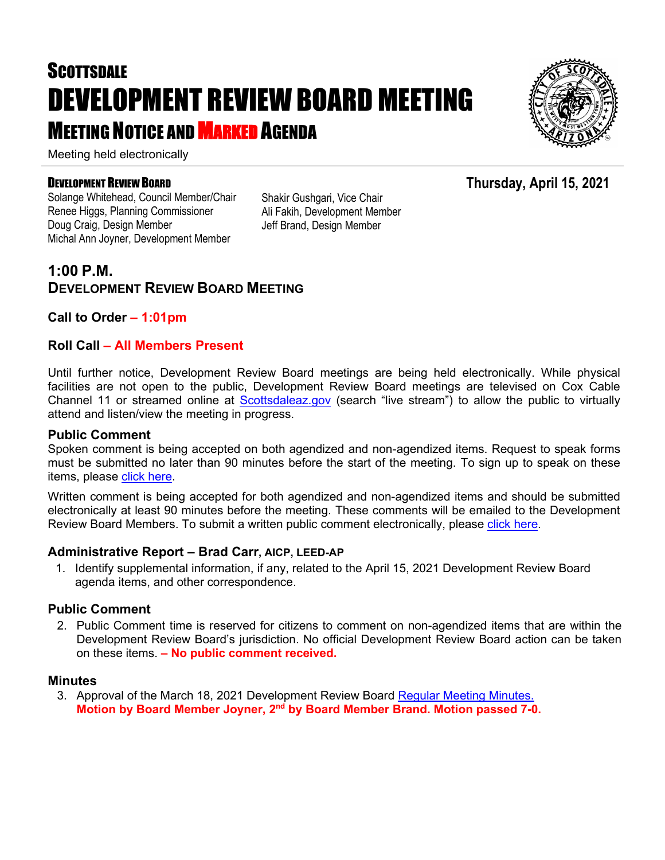# **SCOTTSDALE** DEVELOPMENT REVIEW BOARD MEETING **MEETING NOTICE AND MARKED AGENDA**

Meeting held electronically

#### DEVELOPMENT REVIEW BOARD

Solange Whitehead, Council Member/Chair Renee Higgs, Planning Commissioner Doug Craig, Design Member Michal Ann Joyner, Development Member

Shakir Gushgari, Vice Chair Ali Fakih, Development Member Jeff Brand, Design Member

### **1:00 P.M. DEVELOPMENT REVIEW BOARD MEETING**

#### **Call to Order – 1:01pm**

#### **Roll Call – All Members Present**

Until further notice, Development Review Board meetings are being held electronically. While physical facilities are not open to the public, Development Review Board meetings are televised on Cox Cable Channel 11 or streamed online at [Scottsdaleaz.gov](https://www.scottsdaleaz.gov/) (search "live stream") to allow the public to virtually attend and listen/view the meeting in progress.

#### **Public Comment**

Spoken comment is being accepted on both agendized and non-agendized items. Request to speak forms must be submitted no later than 90 minutes before the start of the meeting. To sign up to speak on these items, please [click here.](https://www.scottsdaleaz.gov/boards/development-review-board/spoken-comment)

Written comment is being accepted for both agendized and non-agendized items and should be submitted electronically at least 90 minutes before the meeting. These comments will be emailed to the Development Review Board Members. To submit a written public comment electronically, please [click here.](https://www.scottsdaleaz.gov/boards/development-review-board/public-comment)

#### **Administrative Report – Brad Carr, AICP, LEED-AP**

1. Identify supplemental information, if any, related to the April 15, 2021 Development Review Board agenda items, and other correspondence.

#### **Public Comment**

2. Public Comment time is reserved for citizens to comment on non-agendized items that are within the Development Review Board's jurisdiction. No official Development Review Board action can be taken on these items. **– No public comment received.**

#### **Minutes**

3. Approval of the March 18, 2021 Development Review Board [Regular Meeting Minutes.](https://eservices.scottsdaleaz.gov/planning/projectsummary/unrelated_documents/DRB_MEETING_MINUTES_03182021.pdf) **Motion by Board Member Joyner, 2nd by Board Member Brand. Motion passed 7-0.** 



**Thursday, April 15, 2021**